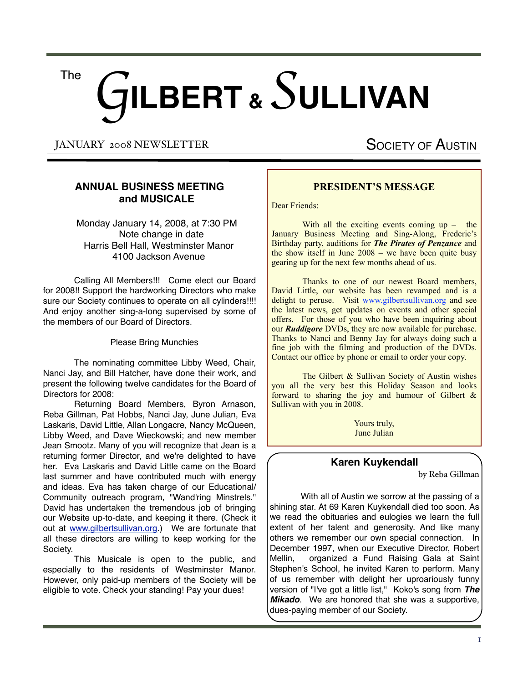# G**ILBERT &** *S* **ULLIVAN** The

JANUARY 2008 NEWSLETTER

SOCIETY OF AUSTIN

# **ANNUAL BUSINESS MEETING and MUSICALE**

 Monday January 14, 2008, at 7:30 PM Note change in date Harris Bell Hall, Westminster Manor 4100 Jackson Avenue

Calling All Members!!! Come elect our Board for 2008!! Support the hardworking Directors who make sure our Society continues to operate on all cylinders!!!! And enjoy another sing-a-long supervised by some of the members of our Board of Directors.

Please Bring Munchies

The nominating committee Libby Weed, Chair, Nanci Jay, and Bill Hatcher, have done their work, and present the following twelve candidates for the Board of Directors for 2008:

Returning Board Members, Byron Arnason, Reba Gillman, Pat Hobbs, Nanci Jay, June Julian, Eva Laskaris, David Little, Allan Longacre, Nancy McQueen, Libby Weed, and Dave Wieckowski; and new member Jean Smootz. Many of you will recognize that Jean is a returning former Director, and we're delighted to have her. Eva Laskaris and David Little came on the Board last summer and have contributed much with energy and ideas. Eva has taken charge of our Educational/ Community outreach program, "Wand'ring Minstrels." David has undertaken the tremendous job of bringing our Website up-to-date, and keeping it there. (Check it out at [www.gilbertsullivan.org.](http://www.gilbertsullivan.org/)) We are fortunate that all these directors are willing to keep working for the Society.

This Musicale is open to the public, and especially to the residents of Westminster Manor. However, only paid-up members of the Society will be eligible to vote. Check your standing! Pay your dues!

# **PRESIDENT'S MESSAGE**

Dear Friends:

With all the exciting events coming  $up -$  the January Business Meeting and Sing-Along, Frederic's Birthday party, auditions for *The Pirates of Penzance* and the show itself in June 2008 – we have been quite busy gearing up for the next few months ahead of us.

 Thanks to one of our newest Board members, David Little, our website has been revamped and is a delight to peruse. Visit [www.gilbertsullivan.org](http://www.gilbertsullivan.org) and see the latest news, get updates on events and other special offers. For those of you who have been inquiring about our *Ruddigore* DVDs, they are now available for purchase. Thanks to Nanci and Benny Jay for always doing such a fine job with the filming and production of the DVDs. Contact our office by phone or email to order your copy.

The Gilbert & Sullivan Society of Austin wishes you all the very best this Holiday Season and looks forward to sharing the joy and humour of Gilbert  $\&$ Sullivan with you in 2008.

> Yours truly, June Julian

# **Karen Kuykendall**

by Reba Gillman

With all of Austin we sorrow at the passing of a shining star. At 69 Karen Kuykendall died too soon. As we read the obituaries and eulogies we learn the full extent of her talent and generosity. And like many others we remember our own special connection. In December 1997, when our Executive Director, Robert Mellin, organized a Fund Raising Gala at Saint Stephen's School, he invited Karen to perform. Many of us remember with delight her uproariously funny version of "I've got a little list," Koko's song from *The Mikado*. We are honored that she was a supportive, dues-paying member of our Society.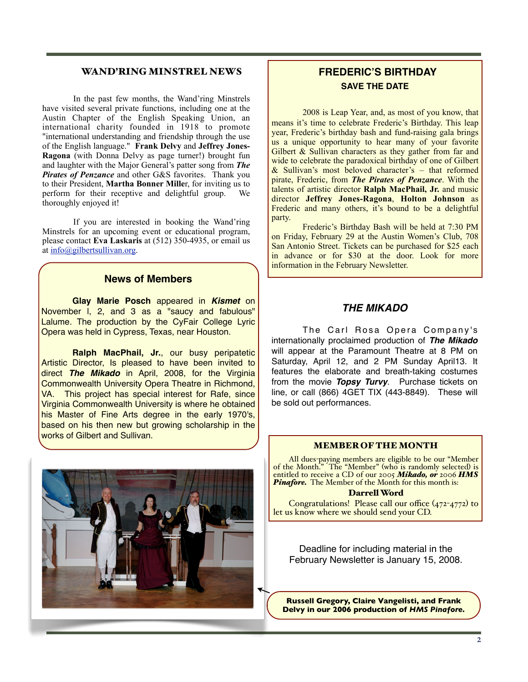# WAND'RING MINSTREL NEWS

 In the past few months, the Wand'ring Minstrels have visited several private functions, including one at the Austin Chapter of the English Speaking Union, an international charity founded in 1918 to promote "international understanding and friendship through the use of the English language." **Frank Delvy** and **Jeffrey Jones-Ragona** (with Donna Delvy as page turner!) brought fun and laughter with the Major General's patter song from *The Pirates of Penzance* and other G&S favorites. Thank you to their President, **Martha Bonner Mille**r, for inviting us to perform for their receptive and delightful group. We thoroughly enjoyed it!

 If you are interested in booking the Wand'ring Minstrels for an upcoming event or educational program, please contact **Eva Laskaris** at (512) 350-4935, or email us at [info@gilbertsullivan.org.](mailto:info@gilbertsullivan.org)

# **News of Members**

**Glay Marie Posch** appeared in *Kismet* on November l, 2, and 3 as a "saucy and fabulous" Lalume. The production by the CyFair College Lyric Opera was held in Cypress, Texas, near Houston.

**Ralph MacPhail, Jr.**, our busy peripatetic Artistic Director, Is pleased to have been invited to direct *The Mikado* in April, 2008, for the Virginia Commonwealth University Opera Theatre in Richmond, VA. This project has special interest for Rafe, since Virginia Commonwealth University is where he obtained his Master of Fine Arts degree in the early 1970's, based on his then new but growing scholarship in the works of Gilbert and Sullivan.



2008 is Leap Year, and, as most of you know, that means it's time to celebrate Frederic's Birthday. This leap year, Frederic's birthday bash and fund-raising gala brings us a unique opportunity to hear many of your favorite Gilbert  $\&$  Sullivan characters as they gather from far and wide to celebrate the paradoxical birthday of one of Gilbert & Sullivan's most beloved character's – that reformed pirate, Frederic, from *The Pirates of Penzance*. With the talents of artistic director **Ralph MacPhail, Jr.** and music director **Jeffrey Jones-Ragona**, **Holton Johnson** as Frederic and many others, it's bound to be a delightful party.

 Frederic's Birthday Bash will be held at 7:30 PM on Friday, February 29 at the Austin Women's Club, 708 San Antonio Street. Tickets can be purchased for \$25 each in advance or for \$30 at the door. Look for more information in the February Newsletter.

# *THE MIKADO*

The Carl Rosa Opera Company's internationally proclaimed production of *The Mikado*  will appear at the Paramount Theatre at 8 PM on Saturday, April 12, and 2 PM Sunday April13. It features the elaborate and breath-taking costumes from the movie *Topsy Turvy*. Purchase tickets on line, or call (866) 4GET TIX (443-8849). These will be sold out performances.



### MEMBER OF THE MONTH

All dues-paying members are eligible to be our "Member of the Month." The "Member" (who is randomly selected) is entitled to receive a CD of our 2005 *Mikado, or* 2006 *HMS*  **Pinafore.** The Member of the Month for this month is:

#### Darrell Word

Congratulations! Please call our office (472-4772) to let us know where we should send your CD.

Deadline for including material in the February Newsletter is January 15, 2008.

**Russell Gregory, Claire Vangelisti, and Frank Delvy in our 2006 production of** *HMS Pinafore.*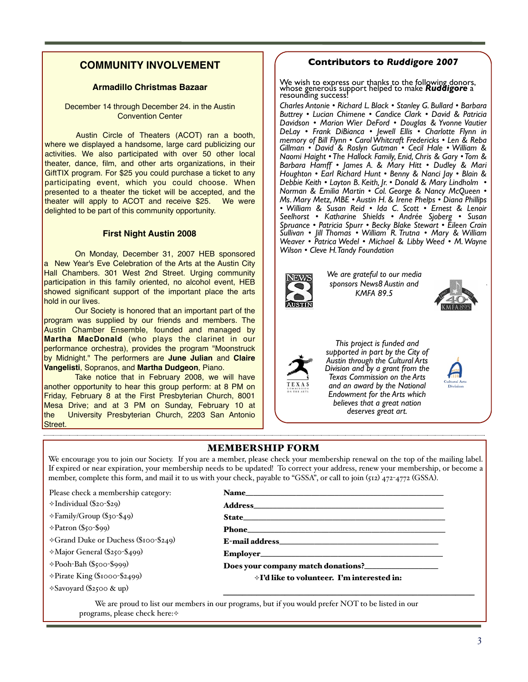#### $\begin{array}{ccc} \textsf{COMMUNITY INVOLVEMENT} \end{array}$   $\begin{array}{ccc} \textsf{COMMUNITY INVOLVEMENT} \end{array}$ program, now known as "The Wand'ring Minstrels." President June greeted us all, and turned affairs over to Eva Laskaris, who not only **IUNITY INVOLVEMENT**

We are most pleased to thank the following donors, whose generators, whose generators, whose generators, whose generators,  $\alpha$ erous support will help make Ruddigore a resounding success!

On Monday May 7, 2007, 24 lucky people gathered in the Jay's comfortable home to enjoy a preview of our revived outreach

performs in the Wand'ring Minstrels but who with Janette Jones was instrumental in creating the show from the opera *Ruddigore*. Eva told

very effective, and apparently involving the children in this way is

John Mast, Nancy McQueen, Gaylon Oswalt, Charles & Diane Radin, Steve & Eve Schwartzman, Larry Shepley, Andrée Sjoberg,

Congratulations! Please call our office (472-4772) to let us know

# **Armadillo Christmas Bazaar** Stanley G. Bullard • Lucian Chimene • Candice

December 14 through December 24. in the Austin Vautier DeLay • Art DiBianca • Frank DiBianca • Convention Center us that the show had been cut down to 40 minutes for presentation to school groups. "Pretend you're 15 years old and have never heard you're 15 years old and have never heard and h Gilbert and Sullivan before," she said. She added that because there

Austin Circle of Theaters (ACOT) ran a booth,  $\bigcup_{m \in \mathbb{N}} P_{m \in \mathbb{N}}$ where we displayed a handsome, large card publicizing our  $\begin{bmatrix} \text{min} \\ \text{Gillman} \end{bmatrix}$ activities. We also participated with over 50 other local | | Naomi Hajght The Hallock Family France  $\frac{1}{2}$  Machines. We also participated that you be strict focal [Naomi Hain because the match of the match of the match of the match  $\frac{1}{2}$  [Naomi Hain because the match of the match of the match of the match of the GiftTIX program. For \$25 you could purchase a ticket to any | Houghton participating event, which you could choose. When Debbie Kei presented to a theater the ticket will be accepted, and the  $\frac{1}{2}$  is a lie and the line will be accepted, and the latter will apply to ACOT and receive \$25. We were  $\frac{1}{2}$  Ms. Mary *i* delighted to be part of this community opportunity. were only four singers in the production, they ask for volunteers from the audience to fill other parts, which the children love. From the children love. From the children love. From the children love. From the children love. From the children love. From the children love. From the child  $\overline{\phantom{a}}$  write we  $\overline{\phantom{a}}$  $\alpha$ untures.  $\frac{W}{Q}$  who we have generated generations and  $\frac{W}{Q}$  in the last  $\frac{W}{Q}$  or  $\frac{W}{Q}$ volunteer was Gaylon Oswalt (pianist Lynda)  $\frac{\mu_{\text{a}}}{\text{a} \text{a} \text{b} \text{c} \text{c} \text{c} \text{c} \text{c} \text{d}}$  $\frac{1}{\sqrt{1+\frac{1}{\sqrt{1+\frac{1}{\sqrt{1+\frac{1}{\sqrt{1+\frac{1}{\sqrt{1+\frac{1}{\sqrt{1+\frac{1}{\sqrt{1+\frac{1}{\sqrt{1+\frac{1}{\sqrt{1+\frac{1}{\sqrt{1+\frac{1}{\sqrt{1+\frac{1}{\sqrt{1+\frac{1}{\sqrt{1+\frac{1}{\sqrt{1+\frac{1}{\sqrt{1+\frac{1}{\sqrt{1+\frac{1}{\sqrt{1+\frac{1}{\sqrt{1+\frac{1}{\sqrt{1+\frac{1}{\sqrt{1+\frac{1}{\sqrt{1+\frac{1}{\sqrt{1+\frac{1}{\sqrt{1+\frac{1}{\sqrt{1+\frac{1$ characters, but never uttered a sound himself. Surprisingly this was  $\mathbf{S}$ 

# **First Night Austin 2008**<br>
Weaver

On Monday, December 31, 2007 HEB sponsored Wedver • Patricia Wedver a New Year's Eve Celebration of the Arts at the Austin City and May Year's Eve Celebration of the Arts at the Austin City Hall Chambers. 301 West 2nd Street. Urging community | **Borgers and Michael Michael Borgers** We are grateful to our n participation in this family oriented, no alcohol event, HEB altogether trustworthy, Richard Dauntless, a delightful short version We are grateful to our media sponsors, altogether trustworthy, Richard Dauntless, a delightful short version showed significant support of the important place the arts KMFA 89.5 **INCHER CRYSTING** With Janette Jones playing both Dame Hannah and Mad Margaret, Eva Laskaris as sweet Rose Maybud, David Fontenot as Sir Despard and Old Adam, and Michael Borysow as the dashing, but not

If lives.<br>Our Society is honored that an important part of the **the set of the very set of the very set of the very set** program was supplied by our friends and members. The  $\frac{1}{\sqrt{2\pi}}$  and the sepped in the sulfunction in the substitution  $\frac{1}{\sqrt{2\pi}}$ **Martha MacDonald** (who plays the Clarinet in our **that is the Cultural Martha MacDonald** (who plays the clarinet in our **that. This project is funded** natitie mass share (the plays the statified in Sat<br>
performance orchestra), provides the program "Moonstruck | | subborted by Midnight." The performers are **June Julian** and **Claire Vangelisti**, Sopranos, and **Martha Dudgeon**, Piano. Eva then international David Formation Contents in the Pirate King's Second David Formation Contents in the Pi lead in we find the finished up and we find the single up and we find the single single up and wonder the single of the single single single single single single single single single single single single single single sing  $\frac{1}{\sqrt{2}}$ 

Take notice that in February 2008, we will have **the state of the state up all single vertex** Texas Commission on the another opportunity to hear this group perform: at 8 PM on  $\parallel$  TEXAS and an award by the N Friday, February 8 at the First Presbyterian Church, 8001  $\vert$  |  $\vert$  | Endowment for the Arts **Those, February 6 at the First Fresbytehan Church, 6001**<br>Mesa Drive; and at 3 PM on Sunday, February 10 at the University Presbyterian Church, 2203 San Antonio | \<br>Chrest Street. talented audience. Many thanks to our welcoming hosts, Benny and the University of the University of the University of the University of the University of the University of the University of the University of the Universit Kathe Gille Gregory, Len Barbara, Len Barbara, Russell & Rebassell & Repart of the Russell of the Russell of the Russell of the Russell of the Russell of the Russell of the Russell of the Russell of the Russell of the Russ & Nancy Jay, June Julian, Chris Laskaris, Allan & Barbara Longacre, more flexible schedule. He reports that the two ElderHostel summer Katy Fontenot, Len & Reba Gillman, Russell & Kay Gregory, Benny

# **Contributors to Ruddigore 2007**

adillo Christmas Bazaar Me wish to express our thanks to the following donors,<br>
resounding success!<br>
Clark • Clark • Clark • Clark • Douglas & Younner & Younglas & Younglas & Younglas & Younglas & Younglas & Young instrumental in creating the show from the opera *Ruddigore*. Eva told **tmas Bazaar had been cut down to 40 minutes for presentation** to 40 minutes for presentation to 40 minutes for school groups. "Presounding success!" Stanley G. Bullard • Lucian Chimene • Candice ring donors,<br>**iddigore** a Yvonnes

resounding success:<br>Charles Antonie • Richard L. Black • Stanley G. Bullard • Barbara I emper 24. In the Austin Charles Allionie • Nichard L. Black • Stanley G. Bullard • Burbard Center **Carol Center** Carol & Patricia **Davidson • Marion Wier DeFord • Douglas & Yvonne Vautier Carol Whiter Deford • Douglas & Yvonne Vautier** *DeLay • Frank DiBianca • Jewell Ellis • Charlotte Flynn in memory of Bill Flynn • Carol Whitcraft Fredericks • Len & Reba Gillman • David & Roslyn Gutman • Cecil Hale • William &*  **Naomi Haight • The Hallock Family, Enid, Chris & Gary • Tom &** arts organizations, in their | Barbara Hamff • James A. & Mary Hitt • Dudley & Mari ans organizations, in their and Barbara Hamff • James A. & Mary Hitt • Dudley & Mari<br>Juld purchase a ticket to any **Bullet Allandate Benny & Nanci Lynda**'s Manci Jay • Blain & *Debbie Keith • Layton B. Keith, Jr. • Donald & Mary Lindholm •*  ou could choose. When Debbie Keith • Layton B. Keith, Jr. • Donald & Mary Lindholm • **but non-speaking in the very import** Norman & Emilia Martin • Col. George & Nancy McQueen • **Provident** • Col. Scorge & Nancy McQueen • of will be accepted, and the **industry of Morman & Emilia Martin •** Col. George & Nancy McQueen • **in the show of the seeder of the shows** of the show of the show of the show of the show of the show of the show of the show **a** receive sesting we were with the stock of the stock of the stock of the stock of the stock of the stock of the sum of the stock of the stock of the stock of the stock of the stock of the stock of the stock of the stock **Seelhorst • Katharine Shields • Andrée Sjoberg • Susan intervent in Shields • Andrée Sjoberg • Susan** *Spruance • Patricia Spurr • Becky Blake Stewart • Eileen Crain Sullivan • Jill Thomas • William R. Trutna • Mary & William Weaver • Patrica Wedel • Michael & Libby Weed • M. Wayne*  2007 HEB sponsored | Wilson • Cleve H. Tandy Foundation Seemorst • Radianne Smeras • Andree Sjoberg • Susan<br>Spruance • Patricia Spurr • Becky Blake Stewart • Eileen Crain  $f_{\text{cyc}}$  (ACOT) ran a booth  $\parallel$  DeLay • Frank DiBianca • Jewell E  $\frac{1}{2}$  and self-conscious group in  $\frac{1}{2}$  memory of Bill Flynn  $\cdot$  Carol Whitcraft c rvonne vauuer<br>arlotte Flynn in  $\frac{dS}{dt}$  • Len & Reba 1ary & William |<br>ed. • M. Wayne |  $\begin{bmatrix} \n\text{S} & \text{S} & \text{S} & \text{S} \\
\text{S} & \text{S} & \text{S} & \text{S} \\
\text{S} & \text{S} & \text{S} & \text{S}\n\end{bmatrix}$ 



program, now known as "The Wand'ring Minstrels." President June

*We are grateful to our media sponsors News8 Austin and KMFA 89.5*



Weed • M. Wayne Wilson



**Eva the Sultan and Claire Austin through the Cultural Arts** *Reserved Austin through the Cultural Arts* **<b>***Representation the Cultural Arts This project is funded and supported in part by the City of Division and by a grant from the Texas Commission on the Arts and an award by the National Endowment for the Arts which believes that a great nation deserves great art.*

#### **MEMBERSHIP FORM** featuring **Patience 23 – 28, 2007. September 23 – 28, 2007. Second is the usual oscillator of usual charles & Dianeer 23, 2007. Second is the usual charles of usual charles**  $\alpha$  $\overline{\phantom{a}}$  ,  $\overline{\phantom{a}}$  ,  $\overline{\phantom{a}}$  ,  $\overline{\phantom{a}}$  ,  $\overline{\phantom{a}}$  ,  $\overline{\phantom{a}}$  ,  $\overline{\phantom{a}}$  ,  $\overline{\phantom{a}}$  ,  $\overline{\phantom{a}}$  ,  $\overline{\phantom{a}}$  ,  $\overline{\phantom{a}}$  ,  $\overline{\phantom{a}}$  ,  $\overline{\phantom{a}}$  ,  $\overline{\phantom{a}}$  ,  $\overline{\phantom{a}}$  ,  $\overline{\phantom{a}}$

We encourage you to join our Society. If you are a member, please check your membership renewal on the top of the mailing label.<br>I If expired or near expiration, your membership needs to be updated! To correct your address, renew your membership, or become a member, complete this form, and mail it to us with your check, payable to "GSSA", or call to join (512) 472-4772 (GSSA). and Libby Weed; and performers Lynda Oswalt, Piano; Eva Laskaris,  $\sum_{n=1}^{\infty}$  Soprano;  $\sum_{n=1}^{\infty}$ Note: Avery good time was had by all. It is too bad that unusually r members up needs to be updated; to correct your address, renew your model is to consider the procedure of the consideration of the consideration of the consideration of the consideration of the consideration of the consi  $\frac{1}{2}$  Soprano; The Internal Borgano; Tenor;  $\frac{1}{2}$  and D  $\frac{1}{2}$  and  $\frac{1}{2}$  and  $\frac{1}{2}$  and  $\frac{1}{2}$  and  $\frac{1}{2}$ Sessions in Connecticut have been rescheduled for a less hot and hu- $\sup_{\Omega}$  or become a  $\mathcal{B}^{K}$ 

Please check a membership category: **Name Name** 

 $\div$ Individual (\$20-\$29) some people did not get their Newsletter until after the event.

⟡Family/Group (\$30-\$49)

 $\Diamond$ Patron (\$50-\$99)

→Grand Duke or Duchess (\$100-\$249) E-mail address  $\overline{p}$  dues-paying members are eligible to be our  $\overline{p}$ 

 $\Diamond$ Major General (\$250-\$499)  $\downarrow$   $\lozenge$  Ma

⟡Pooh-Bah (\$500-\$999)  $\rightarrow$  Poo

⟡Pirate King (\$1000-\$2499)

 $\Diamond$ Savoyard (\$2500 & up) scores, vocal scores, and orchestrations of *Trial by Jury* and *H.M.S.* 

# Name\_\_\_\_\_\_\_\_\_\_\_\_\_\_\_\_\_\_\_\_\_\_\_\_\_\_\_\_\_\_\_\_\_\_\_\_\_\_\_\_\_\_\_\_\_\_\_\_\_\_\_

 $Address$  and  $Address$  and  $Address$  and  $Cov(0, 1)$  is too bad that unusually and  $Cov(1)$  is too bad that unusually and  $U(1)$  is too bad that unusually and  $U(1)$  is too bad that unusually and  $U(1)$  is too bad that unusually and  $U(1$ 

sessions in Connecticut have been reschedung for a less hot and human reschedung for a less hot and human reschedung

State\_\_\_\_\_\_\_\_\_\_\_\_\_\_\_\_\_\_\_\_\_\_\_\_\_\_\_\_\_\_\_\_\_\_\_\_\_\_\_\_\_\_\_\_\_\_\_\_\_\_\_\_  $(\mathfrak{d}_3 \circ \mathfrak{d}_4)$  State slow delivery of the May Newsletter reduced the May Newsletter reduced the attendance, because the attendance, because  $\mathcal{L}$ 

 $9)$  **Phone Phone Phone Phone** *Phone* **Phone** *Phone Phone Phone Phone Phone Phone Phone Phone Phone Phone Phone Phone Phone Phone Phone Phone Phon* 

E-mail address\_\_\_\_\_\_\_\_\_\_\_\_\_\_\_\_\_\_\_\_\_\_\_\_\_\_\_\_\_\_\_\_\_\_\_\_\_\_\_\_\_  $\sum_{i=1}^{N}$   $\sum_{i=1}^{N}$   $\sum_{i=1}^{N}$   $\sum_{i=1}^{N}$   $\sum_{i=1}^{N}$   $\sum_{i=1}^{N}$   $\sum_{i=1}^{N}$   $\sum_{i=1}^{N}$   $\sum_{i=1}^{N}$   $\sum_{i=1}^{N}$   $\sum_{i=1}^{N}$   $\sum_{i=1}^{N}$   $\sum_{i=1}^{N}$   $\sum_{i=1}^{N}$   $\sum_{i=1}^{N}$   $\sum_{i=1}^{N}$   $\sum_{i=1}^{N}$ 

 $Employer$   $\qquad \qquad$   $\qquad \qquad$   $\qquad \qquad$   $\qquad \qquad$   $\qquad \qquad$   $\qquad \qquad$   $\qquad \qquad$   $\qquad \qquad$   $\qquad \qquad$   $\qquad \qquad$   $\qquad \qquad$   $\qquad \qquad$   $\qquad \qquad$   $\qquad \qquad$   $\qquad \qquad$   $\qquad$   $\qquad \qquad$   $\qquad$   $\qquad$   $\qquad$   $\qquad$   $\qquad$   $\qquad$   $\qquad$   $\qquad$   $\qquad$   $\qquad$   $\qquad$ 

 $\circ$ -\$999) have in the system predictions of intervals of intervals  $\bullet$  introductions of intervals of intervals of intervals  $\bullet$ 

ed) is entitled to receive a CD of our 2005 *Mikado*. The Member

 $2555$  year company match conducted.  $\rightarrow$  The projection of  $\rightarrow$  The projections, and  $\rightarrow$  The projection of  $\rightarrow$  The projection of  $\rightarrow$  The projection of  $\rightarrow$  The projection of  $\rightarrow$  The projection of  $\rightarrow$  The projection  $\hat{h}$  $\gamma$  **t**  $\alpha$  has to volument. The interests

 $\overline{\phantom{a}}$  , and the contract of the contract of the contract of the contract of the contract of the contract of the contract of the contract of the contract of the contract of the contract of the contract of the contrac

We are proud to list our members in our programs, but if you would prefer NOT to be listed in our programs, please check here: $\diamond$ **Theresa Wilson**

**ElderHostel — Incarnation Center, Connecticut**

We are pleased to receive funding from the City of Austin under the Cultural Arts Division and by a grant from the Texas Commission on the Arts.

We are grateful to our media sponsors,

These names and those of additional donors will be recognized

more flexible schedule. He reports that the two ElderHostel summer

*The Big Three*, October 7 – 12, 2007. For more information address Rafe directly through his email: RMacPhai@Bridgewater.Edu.

**Rafe to Serve on Gilbert & Sullivan Board**  Ralph MacPhail, Jr., Professor of Theatre and Communication Studies  $\equiv$  Bridgewater College, has been invited by Brothers Limited of Williamstown, MA, to serve on its editorial board for the critical edition of the operas of Gilbert and Sullivan. According to the invitation, "Members are from time to time called upon for advice, asked to assist editors by providing copies of source material they may have in their files, and given preliminary versions of introductions, source descriptions, appendices, etc. to review." The project, which has been under way for over three decades, has published critical full scores, vocal scores, and orchestrations of *Trial by Jury* and *H.M.S.* 

now that Ralph MacPhail, Jr. is retired he can work on a can work on a can work on a can work on a can work on<br>In the can work on a can work on a can work on a can work on a can work on a can work on a can work on a can w